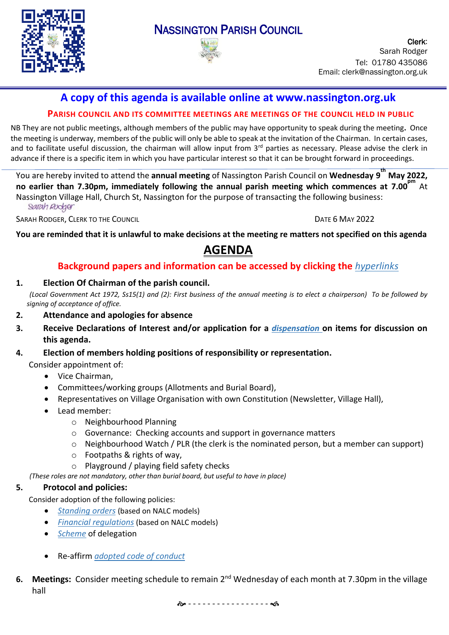

# NASSINGTON PARISH COUNCIL



Clerk: Sarah Rodger Tel: 01780 435086 Email: clerk@nassington.org.uk

# **A copy of this agenda is available online at www.nassington.org.uk**

# **PARISH COUNCIL AND ITS COMMITTEE MEETINGS ARE MEETINGS OF THE COUNCIL HELD IN PUBLIC**

NB They are not public meetings, although members of the public may have opportunity to speak during the meeting**.** Once the meeting is underway, members of the public will only be able to speak at the invitation of the Chairman. In certain cases, and to facilitate useful discussion, the chairman will allow input from 3<sup>rd</sup> parties as necessary. Please advise the clerk in advance if there is a specific item in which you have particular interest so that it can be brought forward in proceedings.

You are hereby invited to attend the **annual meeting** of Nassington Parish Council on **Wednesday 9 th May 2022, no earlier than 7.30pm, immediately following the annual parish meeting which commences at 7.00 pm** At Nassington Village Hall, Church St, Nassington for the purpose of transacting the following business: Sarah Rodger

SARAH RODGER, CLERK TO THE COUNCIL **SARAH RODGER**, CLERK TO THE COUNCIL

You are reminded that it is unlawful to make decisions at the meeting re matters not specified on this agenda

# **AGENDA**

# **Background papers and information can be accessed by clicking the** *[hyperlinks](https://en.wikipedia.org/wiki/Hyperlink)*

#### **1. Election Of Chairman of the parish council.**

(Local Government Act 1972, Ss15(1) and (2): First business of the annual meeting is to elect a chairperson) To be followed by *signing of acceptance of office.*

#### **2. Attendance and apologies for absence**

- **3. Receive [Declarations](http://www.east-northamptonshire.gov.uk/info/723/parish_and_town_councils/1464/deene_and_deenethorpe_parish_council) of Interest and/or application for a** *[dispensation](https://www.dropbox.com/s/gcj2iv12s4iwf9h/Dispensation%20Request%20Form.dotx?dl=0)* **on items for discussion on this agenda.**
- **4. Election of members holding positions of responsibility or representation.**

Consider appointment of:

- Vice Chairman,
- Committees/working groups (Allotments and Burial Board),
- Representatives on Village Organisation with own Constitution (Newsletter, Village Hall),
- Lead member:
	- o Neighbourhood Planning
	- o Governance: Checking accounts and support in governance matters
	- $\circ$  Neighbourhood Watch / PLR (the clerk is the nominated person, but a member can support)
	- o Footpaths & rights of way,
	- o Playground / playing field safety checks
- *(These roles are not mandatory, other than burial board, but useful to have in place)*

# **5. Protocol and policies:**

Consider adoption of the following policies:

- *[Standing](https://www.dropbox.com/s/jrkmpdxvl4t4kkh/22.05%20Standing%20Orders.docx?dl=0) orders* (based on NALC models)
- *Financial [regulations](https://www.dropbox.com/s/e0evw39y5m9s7tv/2022%20Financial%20Regs%20v1.docx?dl=0)* (based on NALC models)
- *[Scheme](https://www.dropbox.com/s/gx45iakzmpgcgxi/2022%20Clerks%20Delegated%20Powers.docx?dl=0)* of delegation
- Re-affirm *[adopted](https://www.dropbox.com/s/wih7on41lhq7y6e/21.05%20NPC%20NNC%20member-code-of-conduct-north.pdf?dl=0) code of conduct*
- 6. Meetings: Consider meeting schedule to remain 2<sup>nd</sup> Wednesday of each month at 7.30pm in the village hall

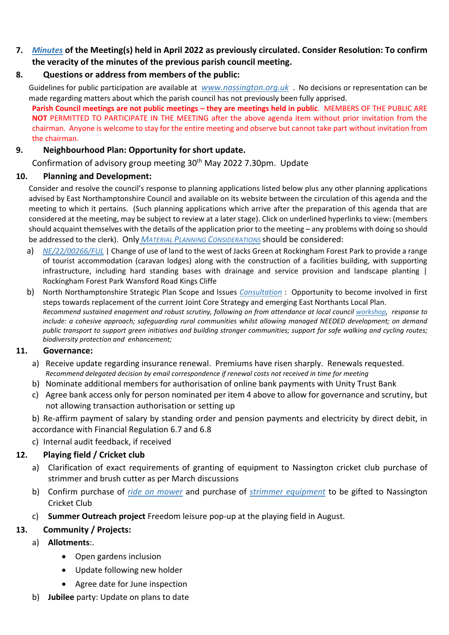# **7.** *[Minutes](https://nassington.org.uk/parish-council/agendas-and-minutes/)* **of the Meeting(s) held in April 2022 as previously circulated. Consider Resolution: To confirm the veracity of the minutes of the previous parish council meeting.**

# **8. Questions or address from members of the public:**

Guidelines for public participation are available at *[www.nassington.org.uk](https://nassington.org.uk/accounts-and-audit/)* . No decisions or representation can be made regarding matters about which the parish council has not previously been fully apprised.

**Parish Council meetings are not public meetings – they are meetings held in public**. MEMBERS OF THE PUBLIC ARE **NOT** PERMITTED TO PARTICIPATE IN THE MEETING after the above agenda item without prior invitation from the chairman. Anyone is welcome to stay for the entire meeting and observe but cannot take part without invitation from the chairman.

# **9. Neighbourhood Plan: Opportunity for short update.**

Confirmation of advisory group meeting 30<sup>th</sup> May 2022 7.30pm. Update

# **10. Planning and Development:**

Consider and resolve the council's response to planning applications listed below plus any other planning applications advised by East Northamptonshire Council and available on its website between the circulation of this agenda and the meeting to which it pertains. (Such planning applications which arrive after the preparation of this agenda that are considered at the meeting, may be subject to review at a later stage). Click on underlined hyperlinks to view: (members should acquaint themselves with the details of the application prior to the meeting – any problems with doing so should be addressed to the clerk). Only *MATERIAL PLANNING C[ONSIDERATIONS](https://www.dropbox.com/s/wervd7qjope1n6f/Guidance%20Note%20on%20Material%20Planning%20Considerations%20October%202015.pdf?dl=0)* should be considered:

- a) *[NE/22/00266/FUL](https://publicaccess.east-northamptonshire.gov.uk/online-applications/applicationDetails.do?activeTab=makeComment&keyVal=R7VB9LGON4100)* | Change of use of land to the west of Jacks Green at Rockingham Forest Park to provide a range of tourist accommodation (caravan lodges) along with the construction of a facilities building, with supporting infrastructure, including hard standing bases with drainage and service provision and landscape planting | Rockingham Forest Park Wansford Road Kings Cliffe
- b) North Northamptonshire Strategic Plan Scope and Issues *[Consultation](https://northnorthants.citizenspace.com/planning/north-northants-strategic-plan-scope-and-issues-co/)* : Opportunity to become involved in first steps towards replacement of the current Joint Core Strategy and emerging East Northants Local Plan. *Recommend sustained enagement and robust scrutiny, following on from attendance at local council [workshop,](https://www.dropbox.com/s/xmmqmc16n0e7nm7/Parish%20council%20workshop%20slides%2028-4-22.pdf?dl=0) response to include: a cohesive approach; safeguarding rural communities whilst allowing managed NEEDED development; on demand public transport to support green initiatives and building stronger communities; support for safe walking and cycling routes; biodiversity protection and enhancement;*

# **11. Governance:**

- a) Receive update regarding insurance renewal. Premiums have risen sharply. Renewals requested. *Recommend delegated decision by email correspondence if renewal costs not received in time for meeting*
- b) Nominate additional members for authorisation of online bank payments with Unity Trust Bank
- c) Agree bank access only for person nominated per item 4 above to allow for governance and scrutiny, but not allowing transaction authorisation or setting up

b) Re-affirm payment of salary by standing order and pension payments and electricity by direct debit, in accordance with Financial Regulation 6.7 and 6.8

c) Internal audit feedback, if received

# **12. Playing field / Cricket club**

- a) Clarification of exact requirements of granting of equipment to Nassington cricket club purchase of strimmer and brush cutter as per March discussions
- b) Confirm purchase of *[ride on mower](https://www.dropbox.com/s/bedmv5juobqlvwr/Mower%20email.pdf?dl=0)* and purchase of *[strimmer equipment](https://www.dropbox.com/s/upe3zy9t27bfbys/strimmer%20files.pdf?dl=0)* to be gifted to Nassington Cricket Club
- c) **Summer Outreach project** Freedom leisure pop-up at the playing field in August.

# **13. Community / Projects:**

- a) **Allotments**:.
	- Open gardens inclusion
	- Update following new holder
	- Agree date for June inspection
- b) **Jubilee** party: Update on plans to date